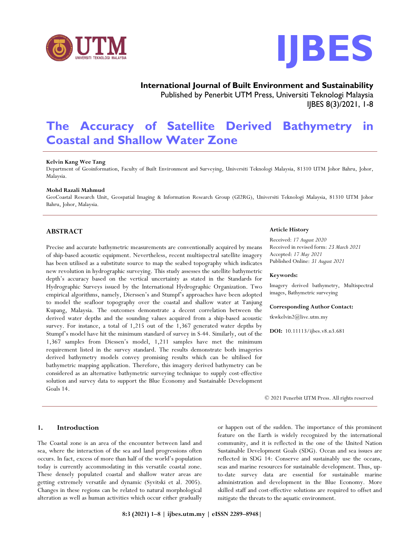



**International Journal of Built Environment and Sustainability** Published by Penerbit UTM Press, Universiti Teknologi Malaysia IJBES 8(3)/2021, 1-8

# **The Accuracy of Satellite Derived Bathymetry in Coastal and Shallow Water Zone**

## **Kelvin Kang Wee Tang**

Department of Geoinformation, Faculty of Built Environment and Surveying, Universiti Teknologi Malaysia, 81310 UTM Johor Bahru, Johor, Malaysia.

## **Mohd Razali Mahmud**

GeoCoastal Research Unit, Geospatial Imaging & Information Research Group (GI2RG), Universiti Teknologi Malaysia, 81310 UTM Johor Bahru, Johor, Malaysia.

## **ABSTRACT**

Precise and accurate bathymetric measurements are conventionally acquired by means of ship-based acoustic equipment. Nevertheless, recent multispectral satellite imagery has been utilised as a substitute source to map the seabed topography which indicates new revolution in hydrographic surveying. This study assesses the satellite bathymetric depth's accuracy based on the vertical uncertainty as stated in the Standards for Hydrographic Surveys issued by the International Hydrographic Organization. Two empirical algorithms, namely, Dierssen's and Stumpf's approaches have been adopted to model the seafloor topography over the coastal and shallow water at Tanjung Kupang, Malaysia. The outcomes demonstrate a decent correlation between the derived water depths and the sounding values acquired from a ship-based acoustic survey. For instance, a total of 1,215 out of the 1,367 generated water depths by Stumpf's model have hit the minimum standard of survey in S-44. Similarly, out of the 1,367 samples from Diessen's model, 1,211 samples have met the minimum requirement listed in the survey standard. The results demonstrate both imageries derived bathymetry models convey promising results which can be ultilised for bathymetric mapping application. Therefore, this imagery derived bathymetry can be considered as an alternative bathymetric surveying technique to supply cost-effective solution and survey data to support the Blue Economy and Sustainable Development Goals 14.

## **1. Introduction**

The Coastal zone is an area of the encounter between land and sea, where the interaction of the sea and land progressions often occurs. In fact, excess of more than half of the world's population today is currently accommodating in this versatile coastal zone. These densely populated coastal and shallow water areas are getting extremely versatile and dynamic (Syvitski et al. 2005). Changes in these regions can be related to natural morphological alteration as well as human activities which occur either gradually

# **Article History**

Received: *17 August 2020* Received in revised form: *23 March 2021* Accepted: *17 May 2021* Published Online: *31 August 2021*

#### **Keywords:**

Imagery derived bathymetry, Multispectral images, Bathymetric surveying

#### **Corresponding Author Contact:**

tkwkelvin2@live.utm.my

**DOI:** 10.11113/ijbes.v8.n3.681

© 2021 Penerbit UTM Press. All rights reserved

or happen out of the sudden. The importance of this prominent feature on the Earth is widely recognized by the international community, and it is reflected in the one of the United Nation Sustainable Development Goals (SDG). Ocean and sea issues are reflected in SDG 14: Conserve and sustainably use the oceans, seas and marine resources for sustainable development. Thus, upto-date survey data are essential for sustainable marine administration and development in the Blue Economy. More skilled staff and cost-effective solutions are required to offset and mitigate the threats to the aquatic environment.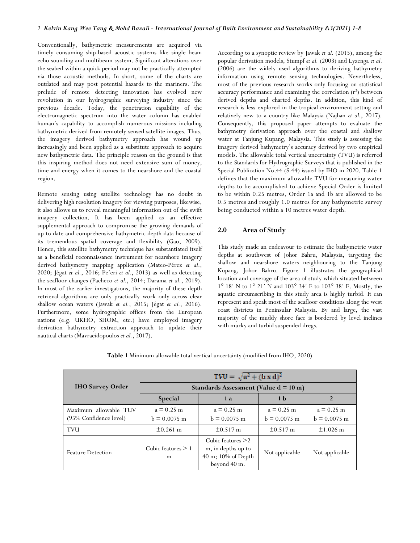Conventionally, bathymetric measurements are acquired via timely consuming ship-based acoustic systems like single beam echo sounding and multibeam system. Significant alterations over the seabed within a quick period may not be practically attempted via those acoustic methods. In short, some of the charts are outdated and may post potential hazards to the mariners. The prelude of remote detecting innovation has evolved new revolution in our hydrographic surveying industry since the previous decade. Today, the penetration capability of the electromagnetic spectrum into the water column has enabled human's capability to accomplish numerous missions including bathymetric derived from remotely sensed satellite images. Thus, the imagery derived bathymetry approach has wound up increasingly and been applied as a substitute approach to acquire new bathymetric data. The principle reason on the ground is that this inspiring method does not need extensive sum of money, time and energy when it comes to the nearshore and the coastal region.

Remote sensing using satellite technology has no doubt in delivering high resolution imagery for viewing purposes, likewise, it also allows us to reveal meaningful information out of the swift imagery collection. It has been applied as an effective supplemental approach to compromise the growing demands of up to date and comprehensive bathymetric depth data because of its tremendous spatial coverage and flexibility (Gao, 2009). Hence, this satellite bathymetry technique has substantiated itself as a beneficial reconnaissance instrument for nearshore imagery derived bathymetry mapping application (Mateo-Pérez *et al*., 2020; Jégat *et al.*, 2016; Pe'eri *et al.*, 2013) as well as detecting the seafloor changes (Pacheco *et al.*, 2014; Darama *et al*., 2019). In most of the earlier investigations, the majority of these depth retrieval algorithms are only practically work only across clear shallow ocean waters (Jawak *et al.*, 2015; Jégat *et al.*, 2016). Furthermore, some hydrographic offices from the European nations (e.g. UKHO, SHOM, etc.) have employed imagery derivation bathymetry extraction approach to update their nautical charts (Mavraeidopoulos *et al.*, 2017).

According to a synoptic review by Jawak *et al.* (2015), among the popular derivation models, Stumpf *et al.* (2003) and Lyzenga *et al.* (2006) are the widely used algorithms to deriving bathymetry information using remote sensing technologies. Nevertheless, most of the previous research works only focusing on statistical accuracy performance and examining the correlation  $(r^2)$  between derived depths and charted depths. In addition, this kind of research is less explored in the tropical environment setting and relatively new to a country like Malaysia (Najhan *et al.*, 2017). Consequently, this proposed paper attempts to evaluate the bathymetry derivation approach over the coastal and shallow water at Tanjung Kupang, Malaysia. This study is assessing the imagery derived bathymetry's accuracy derived by two empirical models. The allowable total vertical uncertainty (TVU) is referred to the Standards for Hydrographic Surveys that is published in the Special Publication No.44 (S-44) issued by IHO in 2020. Table 1 defines that the maximum allowable TVU for measuring water depths to be accomplished to achieve Special Order is limited to be within 0.25 metres, Order 1a and 1b are allowed to be 0.5 metres and roughly 1.0 metres for any bathymetric survey being conducted within a 10 metres water depth.

# **2.0 Area of Study**

This study made an endeavour to estimate the bathymetric water depths at southwest of Johor Bahru, Malaysia, targeting the shallow and nearshore waters neighbouring to the Tanjung Kupang, Johor Bahru. Figure 1 illustrates the geographical location and coverage of the area of study which situated between 1° 18' N to 1° 21' N and 103° 34' E to 103° 38' E. Mostly, the aquatic circumscribing in this study area is highly turbid. It can represent and speak most of the seafloor conditions along the west coast districts in Peninsular Malaysia. By and large, the vast majority of the muddy shore face is bordered by level inclines with murky and turbid suspended dregs.

|                                                 | TWU = $\sqrt{a^2 + (b \times d)^2}$<br>Standards Assessment (Value $d = 10$ m) |                                                                                 |                                |                                |  |
|-------------------------------------------------|--------------------------------------------------------------------------------|---------------------------------------------------------------------------------|--------------------------------|--------------------------------|--|
| <b>IHO Survey Order</b>                         |                                                                                |                                                                                 |                                |                                |  |
|                                                 | <b>Special</b>                                                                 | 1a                                                                              | 1 <sub>b</sub>                 |                                |  |
| Maximum allowable TUV<br>(95% Confidence level) | $a = 0.25$ m<br>$b = 0.0075$ m                                                 | $a = 0.25$ m<br>$b = 0.0075$ m                                                  | $a = 0.25$ m<br>$b = 0.0075$ m | $a = 0.25$ m<br>$b = 0.0075$ m |  |
| <b>TVU</b>                                      | $+0.261$ m                                                                     | $+0.517$ m                                                                      | $\pm 0.517 \text{ m}$          | $+1.026$ m                     |  |
| <b>Feature Detection</b>                        | Cubic features $\geq 1$<br>m                                                   | Cubic features $>2$<br>m, in depths up to<br>40 m; 10% of Depth<br>beyond 40 m. | Not applicable                 | Not applicable                 |  |

**Table 1** Minimum allowable total vertical uncertainty (modified from IHO, 2020)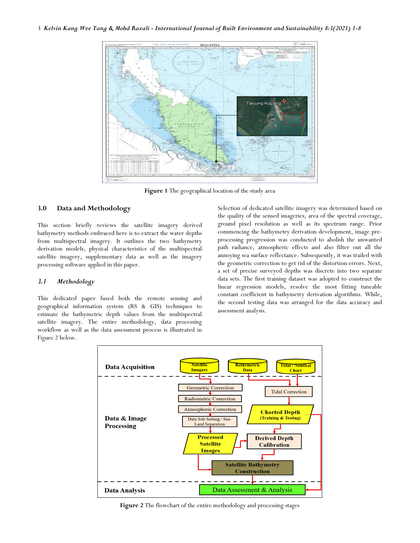

**Figure 1** The geographical location of the study area

# **3.0 Data and Methodology**

This section briefly reviews the satellite imagery derived bathymetry methods embraced here is to extract the water depths from multispectral imagery. It outlines the two bathymetry derivation models, physical characteristics of the multispectral satellite imagery, supplementary data as well as the imagery processing software applied in this paper.

## *3.1 Methodology*

This dedicated paper fused both the remote sensing and geographical information system (RS & GIS) techniques to estimate the bathymetric depth values from the multispectral satellite imagery. The entire methodology, data processing workflow as well as the data assessment process is illustrated in Figure 2 below.

Selection of dedicated satellite imagery was determined based on the quality of the sensed imageries, area of the spectral coverage, ground pixel resolution as well as its spectrum range. Prior commencing the bathymetry derivation development, image preprocessing progression was conducted to abolish the unwanted path radiance, atmospheric effects and also filter out all the annoying sea surface reflectance. Subsequently, it was trailed with the geometric correction to get rid of the distortion errors. Next, a set of precise surveyed depths was discrete into two separate data sets. The first training dataset was adopted to construct the linear regression models, resolve the most fitting tuneable constant coefficient in bathymetry derivation algorithms. While, the second testing data was arranged for the data accuracy and assessment analysis.



**Figure 2** The flowchart of the entire methodology and processing stages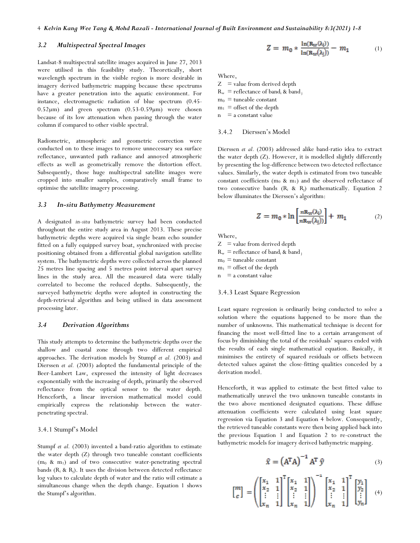# *3.2 Multispectral Spectral Images*

Landsat-8 multispectral satellite images acquired in June 27, 2013 were utilised in this feasibility study. Theoretically, short wavelength spectrum in the visible region is more desirable in imagery derived bathymetric mapping because these spectrums have a greater penetration into the aquatic environment. For instance, electromagnetic radiation of blue spectrum (0.45- 0.52µm) and green spectrum (0.53-0.59µm) were chosen because of its low attenuation when passing through the water column if compared to other visible spectral.

Radiometric, atmospheric and geometric correction were conducted on to these images to remove unnecessary sea surface reflectance, unwanted path radiance and annoyed atmospheric effects as well as geometrically remove the distortion effect. Subsequently, those huge multispectral satellite images were cropped into smaller samples, comparatively small frame to optimise the satellite imagery processing.

#### *3.3 In-situ Bathymetry Measurement*

A designated *in-situ* bathymetric survey had been conducted throughout the entire study area in August 2013. These precise bathymetric depths were acquired via single beam echo sounder fitted on a fully equipped survey boat, synchronized with precise positioning obtained from a differential global navigation satellite system. The bathymetric depths were collected across the planned 25 metres line spacing and 5 metres point interval apart survey lines in the study area. All the measured data were tidally correlated to become the reduced depths. Subsequently, the surveyed bathymetric depths were adopted in constructing the depth-retrieval algorithm and being utilised in data assessment processing later.

## *3.4 Derivation Algorithms*

This study attempts to determine the bathymetric depths over the shallow and coastal zone through two different empirical approaches. The derivation models by Stumpf *et al.* (2003) and Dierssen *et al.* (2003) adopted the fundamental principle of the Beer-Lambert Law, expressed the intensity of light decreases exponentially with the increasing of depth, primarily the observed reflectance from the optical sensor to the water depth. Henceforth, a linear inversion mathematical model could empirically express the relationship between the waterpenetrating spectral.

## 3.4.1 Stumpf's Model

Stumpf *et al.* (2003) invented a band-ratio algorithm to estimate the water depth (Z) through two tuneable constant coefficients (m0 & m1) and of two consecutive water-penetrating spectral bands ( $R_i$  &  $R_j$ ). It uses the division between detected reflectance log values to calculate depth of water and the ratio will estimate a simultaneous change when the depth change. Equation 1 shows the Stumpf's algorithm.

$$
Z = m_0 * \frac{\ln(\mathbf{R}_W(\lambda_i))}{\ln(\mathbf{R}_W(\lambda_i))} - m_1 \tag{1}
$$

Where,

 $Z =$  value from derived depth  $R_w$  = reflectance of band<sub>i</sub> & band<sub>i</sub>  $m_0$  = tuneable constant  $m_1$  = offset of the depth  $n = a constant value$ 

## 3.4.2 Dierssen's Model

Dierssen *et al.* (2003) addressed alike band-ratio idea to extract the water depth (Z). However, it is modelled slightly differently by presenting the log-difference between two detected reflectance values. Similarly, the water depth is estimated from two tuneable constant coefficients ( $m_0$  &  $m_1$ ) and the observed reflectance of two consecutive bands  $(R_i \& R_j)$  mathematically. Equation 2 below illuminates the Dierssen's algorithm:

$$
Z = m_0 * \ln \left[ \frac{nR_W(\lambda_i)}{nR_W(\lambda_j)} \right] + m_1 \tag{2}
$$

Where,

 $Z =$  value from derived depth  $R_w$  = reflectance of band<sub>i</sub> & band<sub>j</sub>  $m_0$  = tuneable constant  $m_1$  = offset of the depth  $n = a constant value$ 

#### 3.4.3 Least Square Regression

Least square regression is ordinarily being conducted to solve a solution where the equations happened to be more than the number of unknowns. This mathematical technique is decent for financing the most well-fitted line to a certain arrangement of focus by diminishing the total of the residuals' squares ended with the results of each single mathematical equation. Basically, it minimises the entirety of squared residuals or offsets between detected values against the close-fitting qualities conceded by a derivation model.

Henceforth, it was applied to estimate the best fitted value to mathematically unravel the two unknown tuneable constants in the two above mentioned designated equations. These diffuse attenuation coefficients were calculated using least square regression via Equation 3 and Equation 4 below. Consequently, the retrieved tuneable constants were then being applied back into the previous Equation 1 and Equation 2 to re-construct the bathymetric models for imagery derived bathymetric mapping.

$$
\hat{\mathbf{x}} = \left(\mathbf{A}^{\mathrm{T}} \mathbf{A}\right)^{-1} \mathbf{A}^{\mathrm{T}} \hat{\mathbf{y}} \tag{3}
$$

$$
\left[ \begin{matrix} m \\ c \end{matrix} \right] = \left( \begin{bmatrix} x_1 & 1 \\ x_2 & 1 \\ \vdots & \vdots \\ x_n & 1 \end{bmatrix} \begin{bmatrix} x_1 & 1 \\ x_2 & 1 \\ \vdots & \vdots \\ x_n & 1 \end{bmatrix} \right)^{-1} \left[ \begin{matrix} x_1 & 1 \\ x_2 & 1 \\ \vdots & \vdots \\ x_n & 1 \end{matrix} \right] ^{\text{T}} \left[ \begin{matrix} y_1 \\ y_2 \\ \vdots \\ y_n \end{matrix} \right] \quad (4)
$$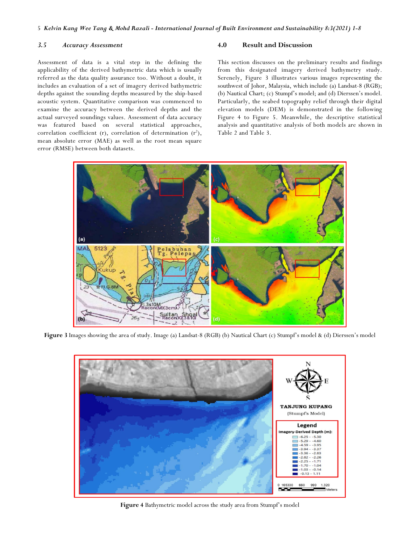# *3.5 Accuracy Assessment*

Assessment of data is a vital step in the defining the applicability of the derived bathymetric data which is usually referred as the data quality assurance too. Without a doubt, it includes an evaluation of a set of imagery derived bathymetric depths against the sounding depths measured by the ship-based acoustic system. Quantitative comparison was commenced to examine the accuracy between the derived depths and the actual surveyed soundings values. Assessment of data accuracy was featured based on several statistical approaches, correlation coefficient (r), correlation of determination  $(r^2)$ , mean absolute error (MAE) as well as the root mean square error (RMSE) between both datasets.

## **4.0 Result and Discussion**

This section discusses on the preliminary results and findings from this designated imagery derived bathymetry study. Serenely, Figure 3 illustrates various images representing the southwest of Johor, Malaysia, which include (a) Landsat-8 (RGB); (b) Nautical Chart; (c) Stumpf's model; and (d) Dierssen's model. Particularly, the seabed topography relief through their digital elevation models (DEM) is demonstrated in the following Figure 4 to Figure 5. Meanwhile, the descriptive statistical analysis and quantitative analysis of both models are shown in Table 2 and Table 3.



**Figure 3** Images showing the area of study. Image (a) Landsat-8 (RGB) (b) Nautical Chart (c) Stumpf's model & (d) Dierssen's model



**Figure 4** Bathymetric model across the study area from Stumpf's model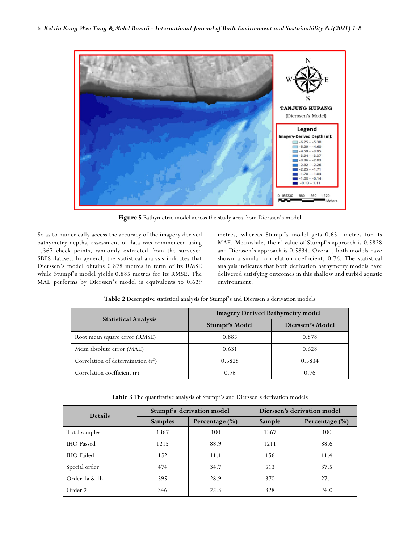

**Figure 5** Bathymetric model across the study area from Dierssen's model

So as to numerically access the accuracy of the imagery derived bathymetry depths, assessment of data was commenced using 1,367 check points, randomly extracted from the surveyed SBES dataset. In general, the statistical analysis indicates that Dierssen's model obtains 0.878 metres in term of its RMSE while Stumpf's model yields 0.885 metres for its RMSE. The MAE performs by Dierssen's model is equivalents to 0.629

metres, whereas Stumpf's model gets 0.631 metres for its MAE. Meanwhile, the  $r^2$  value of Stumpf's approach is  $0.5828$ and Dierssen's approach is 0.5834. Overall, both models have shown a similar correlation coefficient, 0.76. The statistical analysis indicates that both derivation bathymetry models have delivered satisfying outcomes in this shallow and turbid aquatic environment.

|                                      | <b>Imagery Derived Bathymetry model</b> |                  |  |  |
|--------------------------------------|-----------------------------------------|------------------|--|--|
| <b>Statistical Analysis</b>          | Stumpf's Model                          | Dierssen's Model |  |  |
| Root mean square error (RMSE)        | 0.885                                   | 0.878            |  |  |
| Mean absolute error (MAE)            | 0.631                                   | 0.628            |  |  |
| Correlation of determination $(r^2)$ | 0.5828                                  | 0.5834           |  |  |
| Correlation coefficient (r)          | 0.76                                    | 0.76             |  |  |

**Table 2** Descriptive statistical analysis for Stumpf's and Dierssen's derivation models

**Table 3** The quantitative analysis of Stumpf's and Dierssen's derivation models

| <b>Details</b>    | Stumpf's derivation model |                | Dierssen's derivation model |                    |
|-------------------|---------------------------|----------------|-----------------------------|--------------------|
|                   | <b>Samples</b>            | Percentage (%) | Sample                      | Percentage $(\% )$ |
| Total samples     | 1367                      | 100            | 1367                        | 100                |
| <b>IHO</b> Passed | 1215                      | 88.9           | 1211                        | 88.6               |
| <b>IHO</b> Failed | 152                       | 11.1           | 156                         | 11.4               |
| Special order     | 474                       | 34.7           | 513                         | 37.5               |
| Order 1a & 1b     | 395                       | 28.9           | 370                         | 27.1               |
| Order 2           | 346                       | 25.3           | 328                         | 24.0               |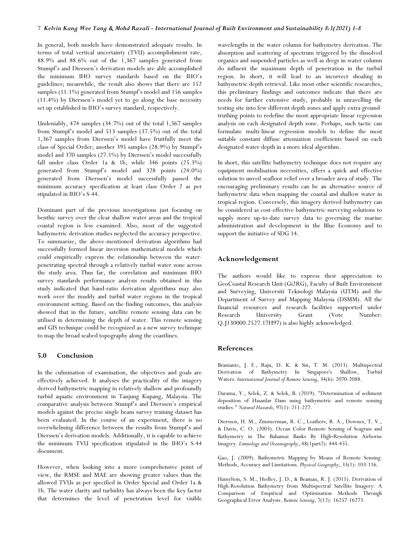In general, both models have demonstrated adequate results. In terms of total vertical uncertainty (TVU) accomplishment rate, 88.9% and 88.6% out of the 1,367 samples generated from Stumpf's and Dierssen's derivation models are able accomplished the minimum IHO survey standards based on the IHO's guidelines; meanwhile, the result also shows that there are 152 samples (11.1%) generated from Stumpf's model and 156 samples (11.4%) by Dierssen's model yet to go along the base necessity set up established in IHO's survey standard, respectively.

Undeniably, 474 samples (34.7%) out of the total 1,367 samples from Stumpf's model and 513 samples (37.5%) out of the total 1,367 samples from Dierssen's model have fruitfully meet the class of Special Order; another 395 samples (28.9%) by Stumpf's model and 370 samples (27.1%) by Dierssen's model successfully fall under class Order 1a & 1b, while 346 points (25.3%) generated from Stumpf's model and 328 points (24.0%) generated from Dierssen's model successfully passed the minimum accuracy specification at least class Order 2 as per stipulated in IHO's S-44.

Dominant part of the previous investigations just focusing on benthic survey over the clear shallow water areas and the tropical coastal region is less examined. Also, most of the suggested bathymetric derivation studies neglected the accuracy perspective. To summarize, the above-mentioned derivation algorithms had successfully formed linear inversion mathematical models which could empirically express the relationship between the waterpenetrating spectral through a relatively turbid water zone across the study area. Thus far, the correlation and minimum IHO survey standards performance analysis results obtained in this study indicated that band-ratio derivation algorithms may also work over the muddy and turbid water regions in the tropical environment setting. Based on the finding outcomes, this analysis showed that in the future, satellite remote sensing data can be utilised in determining the depth of water. This remote sensing and GIS technique could be recognized as a new survey technique to map the broad seabed topography along the coastlines.

## **5.0 Conclusion**

In the culmination of examination, the objectives and goals are effectively achieved. It analyses the practicality of the imagery derived bathymetric mapping in relatively shallow and profoundly turbid aquatic environment in Tanjung Kupang, Malaysia. The comparative analysis between Stumpf's and Dierssen's empirical models against the precise single beam survey training dataset has been evaluated. In the course of an experiment, there is no overwhelming difference between the results from Stumpf's and Dierssen's derivation models. Additionally, it is capable to achieve the minimum TVU specification stipulated in the IHO's S-44 document.

However, when looking into a more comprehensive point of view, the RMSE and MAE are showing greater values than the allowed TVUs as per specified in Order Special and Order 1a & 1b. The water clarity and turbidity has always been the key factor that determines the level of penetration level for visible

wavelengths in the water column for bathymetry derivation. The absorption and scattering of spectrum triggered by the dissolved organics and suspended particles as well as dregs in water column do influent the maximum depth of penetration in the turbid region. In short, it will lead to an incorrect shoaling in bathymetric depth retrieval. Like most other scientific researches, this preliminary findings and outcomes indicate that there are needs for further extensive study, probably in unravelling the testing site into few different depth zones and apply extra groundtruthing points to redefine the most appropriate linear regression analysis on each designated depth zone. Perhaps, such tactic can formulate multi-linear regression models to define the most suitable constant diffuse attenuation coefficients based on each designated water depth in a more ideal algorithm.

In short, this satellite bathymetry technique does not require any equipment mobilisation necessities, offers a quick and effective solution to unveil seafloor relief over a broader area of study. The encouraging preliminary results can be an alternative source of bathymetric data when mapping the coastal and shallow water in tropical region. Conversely, this imagery derived bathymetry can be considered as cost-effective bathymetric surveying solutions to supply more up-to-date survey data to governing the marine administration and development in the Blue Economy and to support the initiative of SDG 14.

# **Acknowledgement**

The authors would like to express their appreciation to GeoCoastal Research Unit (Gi2RG), Faculty of Built Environment and Surveying, Universiti Teknologi Malaysia (UTM) and the Department of Survey and Mapping Malaysia (DSMM). All the financial resources and research facilities supported under Research University Grant (Vote Number: Q.J130000.2527.17H97) is also highly acknowledged.

### **References**

Bramante, J. F., Raju, D. K. & Sin, T. M. (2013). Multispectral Derivation of Bathymetry In Singapore's Shallow, Turbid Waters. *International Journal of Remote Sensing*, 34(6): 2070-2088.

Darama, Y., Selek, Z. & Selek, B. (2019). "Determination of sediment deposition of Hasanlar Dam using bathymetric and remote sensing studies." *Natural Hazards*, 97(1): 211-227.

Dierssen, H. M., Zimmerman, R. C., Leathers, R. A., Downes, T. V., & Davis, C. O. (2003). Ocean Color Remote Sensing of Seagrass and Bathymetry in The Bahamas Banks By High‐Resolution Airborne Imagery. *Limnology and Oceanography*, 48(1part2): 444-455.

Gao, J. (2009). Bathymetric Mapping by Means of Remote Sensing: Methods, Accuracy and Limitations. *Physical Geography*, 33(1): 103-116.

Hamylton, S. M., Hedley, J. D., & Beaman, R. J. (2015). Derivation of High-Resolution Bathymetry from Multispectral Satellite Imagery: A Comparison of Empirical and Optimisation Methods Through Geographical Error Analysis. *Remote Sensing*, 7(12): 16257-16273.